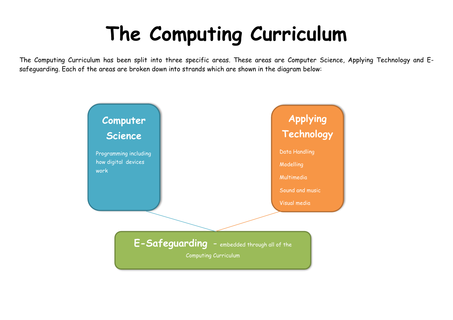## **The Computing Curriculum**

The Computing Curriculum has been split into three specific areas. These areas are Computer Science, Applying Technology and Esafeguarding. Each of the areas are broken down into strands which are shown in the diagram below: